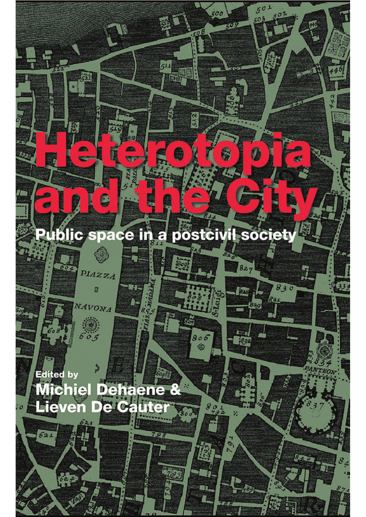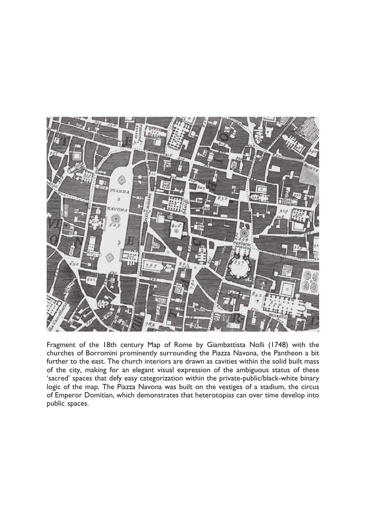

Fragment of the 18th century Map of Rome by Giambattista Nolli (1748) with the churches of Borromini prominently surrounding the Piazza Navona, the Pantheon a bit further to the east. The church interiors are drawn as cavities within the solid built mass of the city, making for an elegant visual expression of the ambiguous status of these 'sacred' spaces that defy easy categorization within the private-public/black-white binary logic of the map. The Piazza Navona was built on the vestiges of a stadium, the circus of Emperor Domitian, which demonstrates that heterotopias can over time develop into public spaces.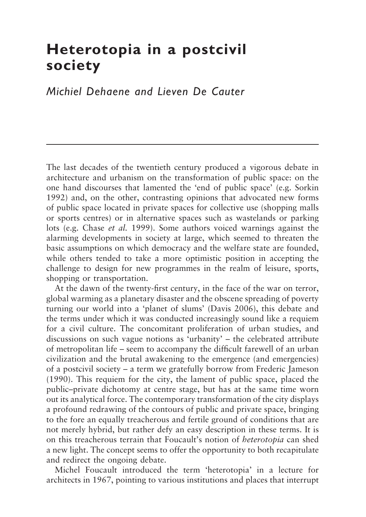## **Heterotopia in a postcivil society**

## *Michiel Dehaene and Lieven De Cauter*

The last decades of the twentieth century produced a vigorous debate in architecture and urbanism on the transformation of public space: on the one hand discourses that lamented the 'end of public space' (e.g. Sorkin 1992) and, on the other, contrasting opinions that advocated new forms of public space located in private spaces for collective use (shopping malls or sports centres) or in alternative spaces such as wastelands or parking lots (e.g. Chase *et al.* 1999). Some authors voiced warnings against the alarming developments in society at large, which seemed to threaten the basic assumptions on which democracy and the welfare state are founded, while others tended to take a more optimistic position in accepting the challenge to design for new programmes in the realm of leisure, sports, shopping or transportation.

At the dawn of the twenty-first century, in the face of the war on terror, global warming as a planetary disaster and the obscene spreading of poverty turning our world into a 'planet of slums' (Davis 2006), this debate and the terms under which it was conducted increasingly sound like a requiem for a civil culture. The concomitant proliferation of urban studies, and discussions on such vague notions as 'urbanity' – the celebrated attribute of metropolitan life – seem to accompany the difficult farewell of an urban civilization and the brutal awakening to the emergence (and emergencies) of a postcivil society – a term we gratefully borrow from Frederic Jameson (1990). This requiem for the city, the lament of public space, placed the public–private dichotomy at centre stage, but has at the same time worn out its analytical force. The contemporary transformation of the city displays a profound redrawing of the contours of public and private space, bringing to the fore an equally treacherous and fertile ground of conditions that are not merely hybrid, but rather defy an easy description in these terms. It is on this treacherous terrain that Foucault's notion of *heterotopia* can shed a new light. The concept seems to offer the opportunity to both recapitulate and redirect the ongoing debate.

Michel Foucault introduced the term 'heterotopia' in a lecture for architects in 1967, pointing to various institutions and places that interrupt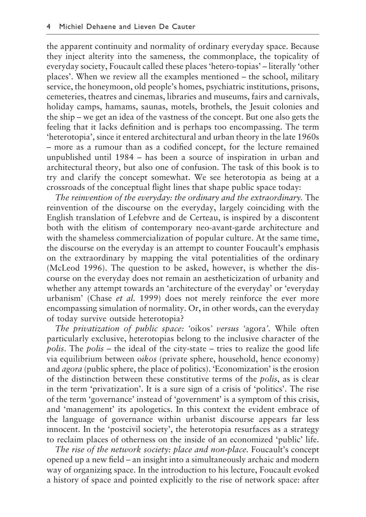the apparent continuity and normality of ordinary everyday space. Because they inject alterity into the sameness, the commonplace, the topicality of everyday society, Foucault called these places 'hetero-topias' – literally 'other places'. When we review all the examples mentioned – the school, military service, the honeymoon, old people's homes, psychiatric institutions, prisons, cemeteries, theatres and cinemas, libraries and museums, fairs and carnivals, holiday camps, hamams, saunas, motels, brothels, the Jesuit colonies and the ship – we get an idea of the vastness of the concept. But one also gets the feeling that it lacks definition and is perhaps too encompassing. The term 'heterotopia', since it entered architectural and urban theory in the late 1960s – more as a rumour than as a codified concept, for the lecture remained unpublished until 1984 – has been a source of inspiration in urban and architectural theory, but also one of confusion. The task of this book is to try and clarify the concept somewhat. We see heterotopia as being at a crossroads of the conceptual flight lines that shape public space today:

*The reinvention of the everyday: the ordinary and the extraordinary.* The reinvention of the discourse on the everyday, largely coinciding with the English translation of Lefebvre and de Certeau, is inspired by a discontent both with the elitism of contemporary neo-avant-garde architecture and with the shameless commercialization of popular culture. At the same time, the discourse on the everyday is an attempt to counter Foucault's emphasis on the extraordinary by mapping the vital potentialities of the ordinary (McLeod 1996). The question to be asked, however, is whether the discourse on the everyday does not remain an aestheticization of urbanity and whether any attempt towards an 'architecture of the everyday' or 'everyday urbanism' (Chase *et al.* 1999) does not merely reinforce the ever more encompassing simulation of normality. Or, in other words, can the everyday of today survive outside heterotopia?

*The privatization of public space: '*oikos*' versus '*agora*'.* While often particularly exclusive, heterotopias belong to the inclusive character of the *polis*. The *polis* – the ideal of the city-state – tries to realize the good life via equilibrium between o*ikos* (private sphere, household, hence economy) and *agora* (public sphere, the place of politics). 'Economization' is the erosion of the distinction between these constitutive terms of the *polis*, as is clear in the term 'privatization'. It is a sure sign of a crisis of 'politics'. The rise of the term 'governance' instead of 'government' is a symptom of this crisis, and 'management' its apologetics. In this context the evident embrace of the language of governance within urbanist discourse appears far less innocent. In the 'postcivil society', the heterotopia resurfaces as a strategy to reclaim places of otherness on the inside of an economized 'public' life.

*The rise of the network society: place and non-place.* Foucault's concept opened up a new field – an insight into a simultaneously archaic and modern way of organizing space. In the introduction to his lecture, Foucault evoked a history of space and pointed explicitly to the rise of network space: after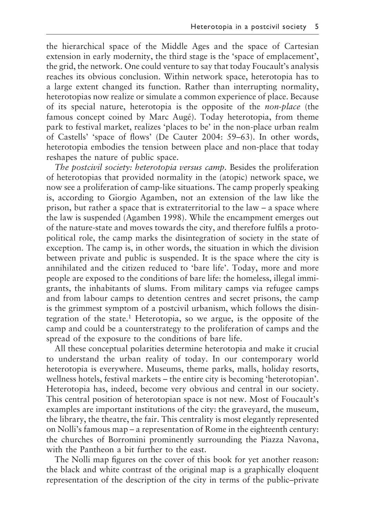the hierarchical space of the Middle Ages and the space of Cartesian extension in early modernity, the third stage is the 'space of emplacement', the grid, the network. One could venture to say that today Foucault's analysis reaches its obvious conclusion. Within network space, heterotopia has to a large extent changed its function. Rather than interrupting normality, heterotopias now realize or simulate a common experience of place. Because of its special nature, heterotopia is the opposite of the *non-place* (the famous concept coined by Marc Augé). Today heterotopia, from theme park to festival market, realizes 'places to be' in the non-place urban realm of Castells' 'space of flows' (De Cauter 2004: 59–63). In other words, heterotopia embodies the tension between place and non-place that today reshapes the nature of public space.

*The postcivil society: heterotopia versus camp. Besides the proliferation* of heterotopias that provided normality in the (atopic) network space, we now see a proliferation of camp-like situations. The camp properly speaking is, according to Giorgio Agamben, not an extension of the law like the prison, but rather a space that is extraterritorial to the law – a space where the law is suspended (Agamben 1998). While the encampment emerges out of the nature-state and moves towards the city, and therefore fulfils a protopolitical role, the camp marks the disintegration of society in the state of exception. The camp is, in other words, the situation in which the division between private and public is suspended. It is the space where the city is annihilated and the citizen reduced to 'bare life'. Today, more and more people are exposed to the conditions of bare life: the homeless, illegal immigrants, the inhabitants of slums. From military camps via refugee camps and from labour camps to detention centres and secret prisons, the camp is the grimmest symptom of a postcivil urbanism, which follows the disintegration of the state.<sup>1</sup> Heterotopia, so we argue, is the opposite of the camp and could be a counterstrategy to the proliferation of camps and the spread of the exposure to the conditions of bare life.

All these conceptual polarities determine heterotopia and make it crucial to understand the urban reality of today. In our contemporary world heterotopia is everywhere. Museums, theme parks, malls, holiday resorts, wellness hotels, festival markets – the entire city is becoming 'heterotopian'. Heterotopia has, indeed, become very obvious and central in our society. This central position of heterotopian space is not new. Most of Foucault's examples are important institutions of the city: the graveyard, the museum, the library, the theatre, the fair. This centrality is most elegantly represented on Nolli's famous map – a representation of Rome in the eighteenth century: the churches of Borromini prominently surrounding the Piazza Navona, with the Pantheon a bit further to the east.

The Nolli map figures on the cover of this book for yet another reason: the black and white contrast of the original map is a graphically eloquent representation of the description of the city in terms of the public–private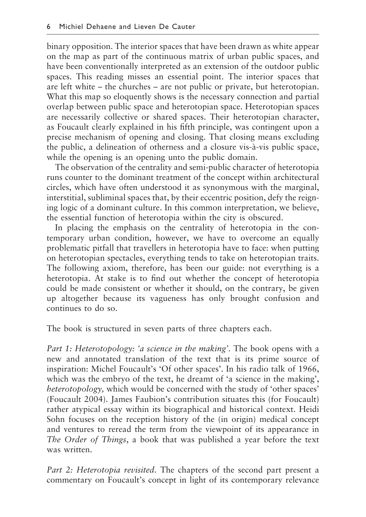binary opposition. The interior spaces that have been drawn as white appear on the map as part of the continuous matrix of urban public spaces, and have been conventionally interpreted as an extension of the outdoor public spaces. This reading misses an essential point. The interior spaces that are left white – the churches – are not public or private, but heterotopian. What this map so eloquently shows is the necessary connection and partial overlap between public space and heterotopian space. Heterotopian spaces are necessarily collective or shared spaces. Their heterotopian character, as Foucault clearly explained in his fifth principle, was contingent upon a precise mechanism of opening and closing. That closing means excluding the public, a delineation of otherness and a closure vis-à-vis public space, while the opening is an opening unto the public domain.

The observation of the centrality and semi-public character of heterotopia runs counter to the dominant treatment of the concept within architectural circles, which have often understood it as synonymous with the marginal, interstitial, subliminal spaces that, by their eccentric position, defy the reigning logic of a dominant culture. In this common interpretation, we believe, the essential function of heterotopia within the city is obscured.

In placing the emphasis on the centrality of heterotopia in the contemporary urban condition, however, we have to overcome an equally problematic pitfall that travellers in heterotopia have to face: when putting on heterotopian spectacles, everything tends to take on heterotopian traits. The following axiom, therefore, has been our guide: not everything is a heterotopia. At stake is to find out whether the concept of heterotopia could be made consistent or whether it should, on the contrary, be given up altogether because its vagueness has only brought confusion and continues to do so.

The book is structured in seven parts of three chapters each.

*Part 1: Heterotopology: 'a science in the making'*. The book opens with a new and annotated translation of the text that is its prime source of inspiration: Michel Foucault's 'Of other spaces'. In his radio talk of 1966, which was the embryo of the text, he dreamt of 'a science in the making', *heterotopology,* which would be concerned with the study of 'other spaces' (Foucault 2004). James Faubion's contribution situates this (for Foucault) rather atypical essay within its biographical and historical context. Heidi Sohn focuses on the reception history of the (in origin) medical concept and ventures to reread the term from the viewpoint of its appearance in *The Order of Things*, a book that was published a year before the text was written.

*Part 2: Heterotopia revisited.* The chapters of the second part present a commentary on Foucault's concept in light of its contemporary relevance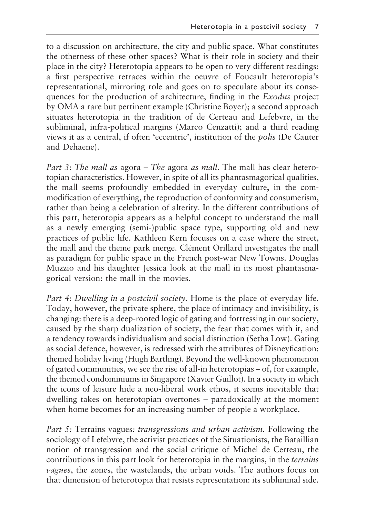to a discussion on architecture, the city and public space. What constitutes the otherness of these other spaces? What is their role in society and their place in the city? Heterotopia appears to be open to very different readings: a first perspective retraces within the oeuvre of Foucault heterotopia's representational, mirroring role and goes on to speculate about its consequences for the production of architecture, finding in the *Exodus* project by OMA a rare but pertinent example (Christine Boyer); a second approach situates heterotopia in the tradition of de Certeau and Lefebvre, in the subliminal, infra-political margins (Marco Cenzatti); and a third reading views it as a central, if often 'eccentric', institution of the *polis* (De Cauter and Dehaene).

*Part 3: The mall as* agora *– The* agora *as mall.* The mall has clear heterotopian characteristics. However, in spite of all its phantasmagorical qualities, the mall seems profoundly embedded in everyday culture, in the commodification of everything, the reproduction of conformity and consumerism, rather than being a celebration of alterity. In the different contributions of this part, heterotopia appears as a helpful concept to understand the mall as a newly emerging (semi-)public space type, supporting old and new practices of public life. Kathleen Kern focuses on a case where the street, the mall and the theme park merge. Clément Orillard investigates the mall as paradigm for public space in the French post-war New Towns. Douglas Muzzio and his daughter Jessica look at the mall in its most phantasmagorical version: the mall in the movies.

*Part 4: Dwelling in a postcivil society.* Home is the place of everyday life. Today, however, the private sphere, the place of intimacy and invisibility, is changing: there is a deep-rooted logic of gating and fortressing in our society, caused by the sharp dualization of society, the fear that comes with it, and a tendency towards individualism and social distinction (Setha Low). Gating as social defence, however, is redressed with the attributes of Disneyfication: themed holiday living (Hugh Bartling). Beyond the well-known phenomenon of gated communities, we see the rise of all-in heterotopias – of, for example, the themed condominiums in Singapore (Xavier Guillot). In a society in which the icons of leisure hide a neo-liberal work ethos, it seems inevitable that dwelling takes on heterotopian overtones – paradoxically at the moment when home becomes for an increasing number of people a workplace.

*Part 5:* Terrains vagues*: transgressions and urban activism.* Following the sociology of Lefebvre, the activist practices of the Situationists, the Bataillian notion of transgression and the social critique of Michel de Certeau, the contributions in this part look for heterotopia in the margins, in the *terrains vagues*, the zones, the wastelands, the urban voids. The authors focus on that dimension of heterotopia that resists representation: its subliminal side.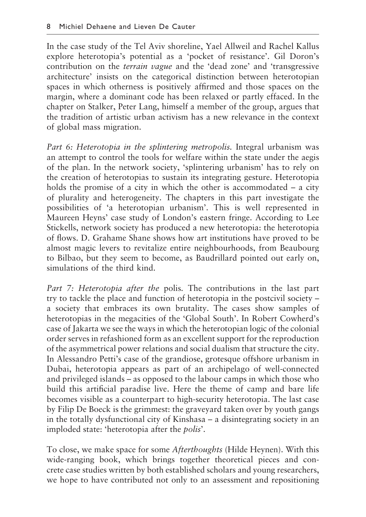In the case study of the Tel Aviv shoreline, Yael Allweil and Rachel Kallus explore heterotopia's potential as a 'pocket of resistance'. Gil Doron's contribution on the *terrain vague* and the 'dead zone' and 'transgressive architecture' insists on the categorical distinction between heterotopian spaces in which otherness is positively affirmed and those spaces on the margin, where a dominant code has been relaxed or partly effaced. In the chapter on Stalker, Peter Lang, himself a member of the group, argues that the tradition of artistic urban activism has a new relevance in the context of global mass migration.

*Part 6: Heterotopia in the splintering metropolis.* Integral urbanism was an attempt to control the tools for welfare within the state under the aegis of the plan. In the network society, 'splintering urbanism' has to rely on the creation of heterotopias to sustain its integrating gesture. Heterotopia holds the promise of a city in which the other is accommodated – a city of plurality and heterogeneity. The chapters in this part investigate the possibilities of 'a heterotopian urbanism'. This is well represented in Maureen Heyns' case study of London's eastern fringe. According to Lee Stickells, network society has produced a new heterotopia: the heterotopia of flows. D. Grahame Shane shows how art institutions have proved to be almost magic levers to revitalize entire neighbourhoods, from Beaubourg to Bilbao, but they seem to become, as Baudrillard pointed out early on, simulations of the third kind.

*Part 7: Heterotopia after the* polis*.* The contributions in the last part try to tackle the place and function of heterotopia in the postcivil society – a society that embraces its own brutality. The cases show samples of heterotopias in the megacities of the 'Global South'. In Robert Cowherd's case of Jakarta we see the ways in which the heterotopian logic of the colonial order serves in refashioned form as an excellent support for the reproduction of the asymmetrical power relations and social dualism that structure the city. In Alessandro Petti's case of the grandiose, grotesque offshore urbanism in Dubai, heterotopia appears as part of an archipelago of well-connected and privileged islands – as opposed to the labour camps in which those who build this artificial paradise live. Here the theme of camp and bare life becomes visible as a counterpart to high-security heterotopia. The last case by Filip De Boeck is the grimmest: the graveyard taken over by youth gangs in the totally dysfunctional city of Kinshasa – a disintegrating society in an imploded state: 'heterotopia after the *polis*'.

To close, we make space for some *Afterthoughts* (Hilde Heynen). With this wide-ranging book, which brings together theoretical pieces and concrete case studies written by both established scholars and young researchers, we hope to have contributed not only to an assessment and repositioning